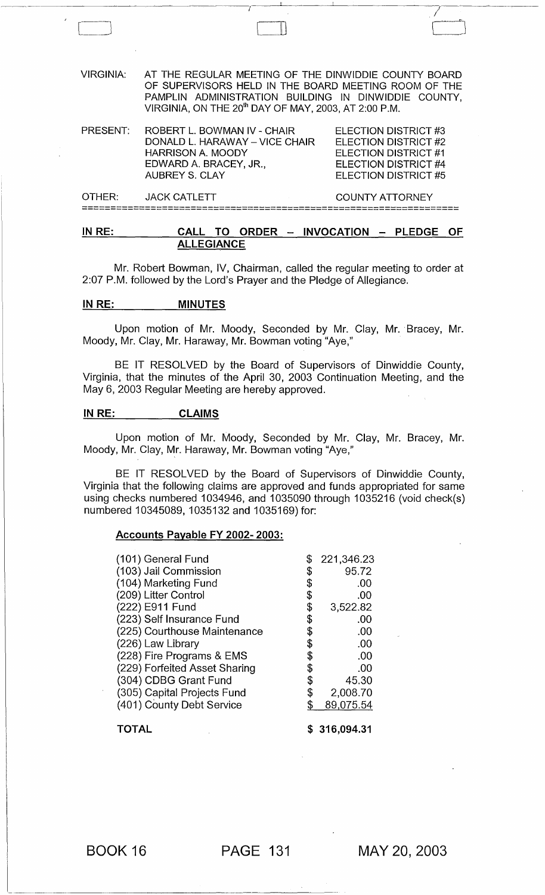VIRGINIA: AT THE REGULAR MEETING OF THE DINWIDDIE COUNTY BOARD OF SUPERVISORS HELD IN THE BOARD MEETING ROOM OF THE PAMPLIN ADMINISTRATION BUILDING IN DINWIDDIE COUNTY, VIRGINIA, ON THE 20<sup>th</sup> DAY OF MAY, 2003, AT 2:00 P.M.

 $\Box$ 

/

| PRESENT: | ROBERT L. BOWMAN IV - CHAIR<br>DONALD L. HARAWAY - VICE CHAIR<br><b>HARRISON A. MOODY</b><br>EDWARD A. BRACEY, JR.,<br>AUBREY S. CLAY | ELECTION DISTRICT #3<br>ELECTION DISTRICT #2<br>ELECTION DISTRICT #1<br>ELECTION DISTRICT #4<br><b>ELECTION DISTRICT #5</b> |
|----------|---------------------------------------------------------------------------------------------------------------------------------------|-----------------------------------------------------------------------------------------------------------------------------|
| OTHER:   | JACK CATLETT                                                                                                                          | <b>COUNTY ATTORNEY</b>                                                                                                      |

==================================================================

### $IN RE:$  CALL TO ORDER - INVOCATION - PLEDGE OF ALLEGIANCE

Mr. Robert Bowman, IV, Chairman, called the regular meeting to order at 2:07 P.M. followed by the Lord's Prayer and the Pledge of Allegiance.

#### IN RE: MINUTES

Upon motion of Mr. Moody, Seconded by Mr. Clay, Mr.· Bracey, Mr. Moody, Mr. Clay, Mr. Haraway, Mr. Bowman voting "Aye,"

BE IT RESOLVED by the Board of Supervisors of Dinwiddie County, Virginia, that the minutes of the April 30, 2003 Continuation Meeting, and the May 6, 2003 Regular Meeting are hereby approved.

### IN RE: CLAIMS

Upon motion of Mr. Moody, Seconded by Mr. Clay, Mr. Bracey, Mr. Moody, Mr. Clay, Mr. Haraway, Mr. Bowman voting "Aye,"

BE IT RESOLVED by the Board of Supervisors of Dinwiddie County, Virginia that the following claims are approved and funds appropriated for same using checks numbered 1034946, and 1035090 through 1035216 (void check(s) numbered 10345089, 1035132 and 1035169) for:

#### Accounts Payable FY 2002- 2003:

| (101) General Fund            | \$ | 221,346.23 |
|-------------------------------|----|------------|
| (103) Jail Commission         | \$ | 95.72      |
| (104) Marketing Fund          | \$ | .00        |
| (209) Litter Control          | \$ | .00        |
| (222) E911 Fund               | \$ | 3,522.82   |
| (223) Self Insurance Fund     | \$ | .00        |
| (225) Courthouse Maintenance  | \$ | .00        |
| (226) Law Library             | \$ | .00        |
| (228) Fire Programs & EMS     | \$ | .00        |
| (229) Forfeited Asset Sharing | \$ | .00        |
| (304) CDBG Grant Fund         | \$ | 45.30      |
| (305) Capital Projects Fund   | \$ | 2,008.70   |
| (401) County Debt Service     | S  | 89,075.54  |
| <b>TOTAL</b>                  |    | 316,094.31 |

BOOK 16 PAGE 131

--------------------- ------

MAY 20,2003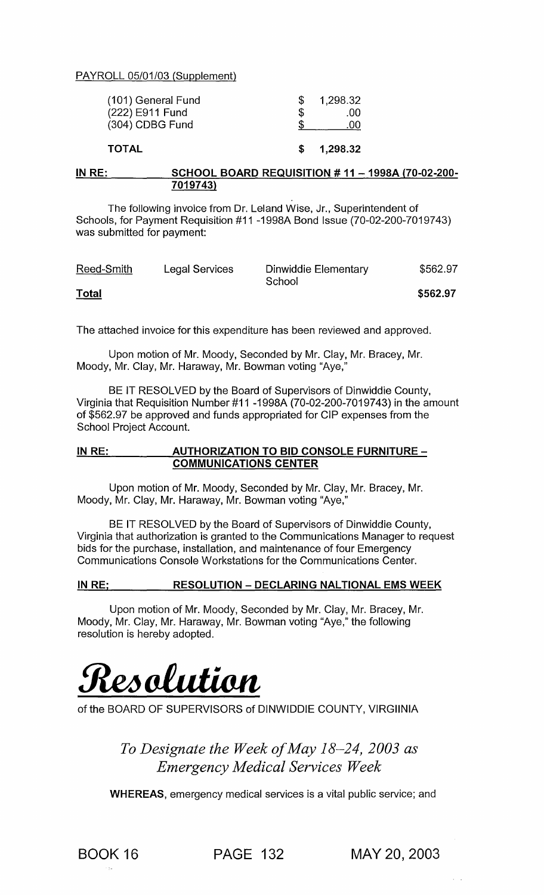PAYROLL 05/01/03 (Supplement)

| <b>TOTAL</b>                       |    | 1,298.32     |
|------------------------------------|----|--------------|
| (222) E911 Fund<br>(304) CDBG Fund | £. | .00.<br>.00. |
| (101) General Fund                 |    | 1,298.32     |

### IN RE: SCHOOL BOARD REQUISITION # 11 - 1998A {70-02-200- 7019743)

The following invoice from Dr. Leland Wise, Jr., Superintendent of Schools, for Payment Requisition #11 -199SA Bond Issue (70-02-200-7019743) was submitted for payment:

| Reed-Smith   | Legal Services | Dinwiddie Elementary<br>School | \$562.97 |
|--------------|----------------|--------------------------------|----------|
| <b>Total</b> |                |                                | \$562.97 |

The attached invoice for this expenditure has been reviewed and approved.

Upon motion of Mr. Moody, Seconded by Mr. Clay, Mr. Bracey, Mr. Moody, Mr. Clay, Mr. Haraway, Mr. Bowman voting "Aye,"

BE IT RESOLVED by the Board of Supervisors of Dinwiddie County, Virginia that Requisition Number#11 -199SA (70-02-200-7019743) in the amount of \$562.97 be approved and funds appropriated for CIP expenses from the School Project Account.

### IN RE: AUTHORIZATION TO BID CONSOLE FURNITURE -COMMUNICATIONS CENTER

Upon motion of Mr. Moody, Seconded by Mr. Clay, Mr. Bracey, Mr. Moody, Mr. Clay, Mr. Haraway, Mr. Bowman voting "Aye,"

BE IT RESOLVED by the Board of Supervisors of Dinwiddie County, Virginia that authorization is granted to the Communications Manager to request bids for the purchase, installation, and maintenance of four Emergency Communications Console Workstations for the Communications Center.

### IN RE; RESOLUTION - DECLARING NALTIONAL EMS WEEK

Upon motion of Mr. Moody, Seconded by Mr. Clay, Mr. Bracey, Mr. Moody, Mr. Clay, Mr. Haraway, Mr. Bowman voting "Aye," the following resolution is hereby adopted.



of the BOARD OF SUPERVISORS of DINWIDDIE COUNTY, VIRGIINIA

*To Designate the Week of May* 18-24, *2003 as Emergency Medical Services Week* 

WHEREAS, emergency medical services is a vital public service; and

BOOK 16 PAGE 132 MAY 20,2003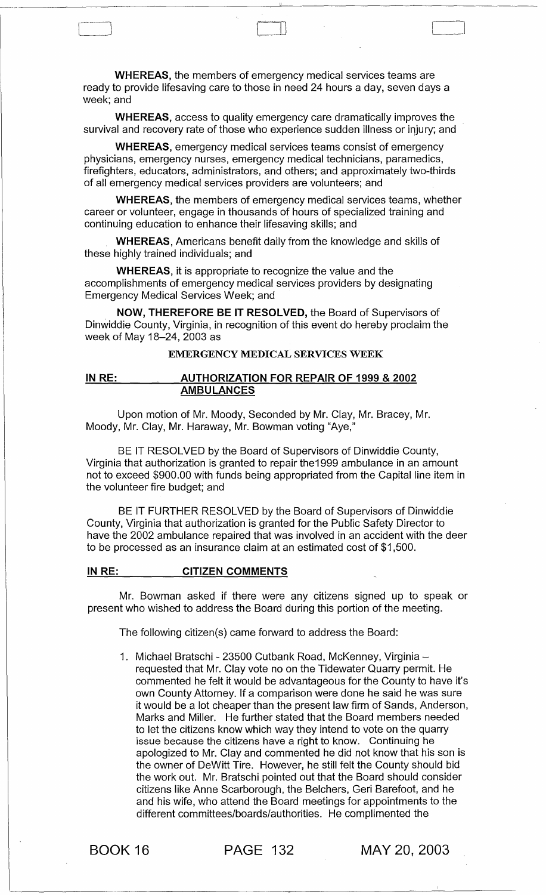WHEREAS, the members of emergency medical services teams are ready to provide lifesaving care to those in need 24 hours a day, seven days a week; and

WHEREAS, access to quality emergency care dramatically improves the survival and recovery rate of those who experience sudden illness or injury; and

WHEREAS, emergency medical services teams consist of emergency physicians, emergency nurses, emergency medical technicians, paramedics, firefighters, educators, administrators, and others; and approximately two-thirds of all emergency medical services providers are volunteers; and

WHEREAS, the members of emergency medical services teams, whether career or volunteer, engage in thousands of hours of specialized training and continuing education to enhance their lifesaving skills; and

WHEREAS, Americans benefit daily from the knowledge and skills of these highly trained individuals; and

WHEREAS, it is appropriate to recognize the value and the accomplishments of emergency medical services providers by designating Emergency Medical Services Week; and

NOW, THEREFORE BE IT RESOLVED, the Board of Supervisors of Dinwiddie County, Virginia, in recognition of this event do hereby proclaim the week of May 18-24, 2003 as

### EMERGENCY MEDICAL SERVICES WEEK

### IN RE: AUTHORIZATION FOR REPAIR OF 1999 & 2002 AMBULANCES

Upon motion of Mr. Moody, Seconded by Mr. Clay, Mr. Bracey, Mr. Moody, Mr. Clay, Mr. Haraway, Mr. Bowman voting "Aye,"

BE IT RESOLVED by the Board of Supervisors of Dinwiddie County, Virginia that authorization is granted to repair the1999 ambulance in an amount not to exceed \$900.00 with funds being appropriated from the Capital line item in the volunteer fire budget; and

BE IT FURTHER RESOLVED by the Board of Supervisors of Dinwiddie County, Virginia that authorization is granted for the Public Safety Director to have the 2002 ambulance repaired that was involved in an accident with the deer to be processed as an insurance claim at an estimated cost of \$1 ,500.

#### IN RE: CITIZEN COMMENTS

Mr. Bowman asked if there were any citizens signed up to speak or present who wished to address the Board during this portion of the meeting.

The following citizen(s) came forward to address the Board:

1. Michael Bratschi - 23500 Cutbank Road, McKenney, Virginiarequested that Mr. Clay vote no on the Tidewater Quarry permit. He commented he felt it would be advantageous for the County to have it's own County Attorney. If a comparison were done he said he was sure it would be a lot cheaper than the present law firm of Sands, Anderson, Marks and Miller. He further stated that the Board members needed to let the citizens know which way they intend to vote on the quarry issue because the citizens have a right to know. Continuing he apologized to Mr. Clay and commented he did not know that his son is the owner of DeWitt Tire. However, he still felt the County should bid the work out. Mr. Bratschi pointed out that the Board should consider citizens like Anne Scarborough, the Belchers, Geri Barefoot, and he and his wife, who attend the Board meetings for appointments to the different committees/boards/authorities. He complimented the

BOOK 16 PAGE 132 MAY 20,2003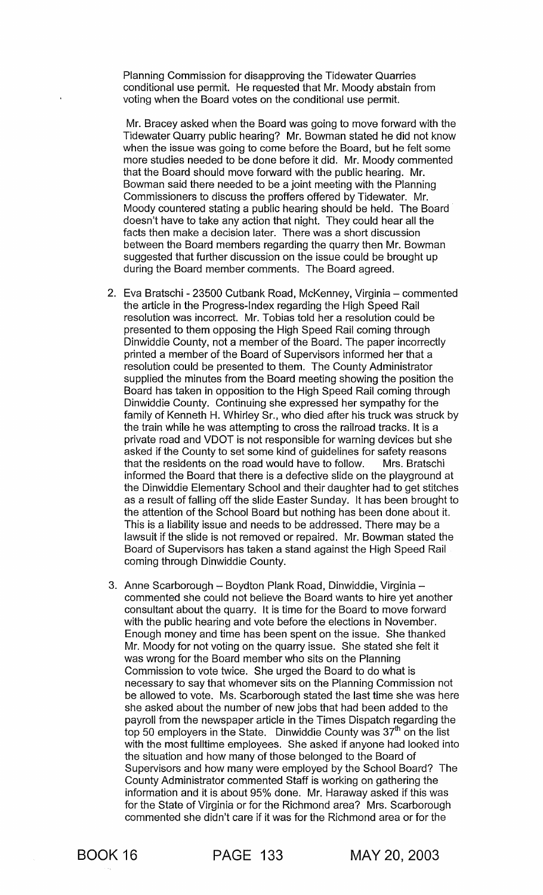Planning Commission for disapproving the Tidewater Quarries conditional use permit. He requested that Mr. Moody abstain from voting when the Board votes on the conditional use permit.

Mr. Bracey asked when the Board was going to move forward with the Tidewater Quarry public hearing? Mr. Bowman stated he did not know when the issue was going to come before the Board, but he felt some more studies needed to be done before it did. Mr. Moody commented that the Board should move forward with the public hearing. Mr. Bowman said there needed to be a joint meeting with the Planning Commissioners to discuss the proffers offered by Tidewater. Mr. Moody countered stating a public hearing should be held. The Board doesn't have to take any action that night. They could hear all the facts then make a decision later. There was a short discussion between the Board members regarding the quarry then Mr. Bowman suggested that further discussion on the issue could be brought up during the Board member comments. The Board agreed.

- 2. Eva Bratschi 23500 Cutbank Road, McKenney, Virginia commented the article in the Progress-Index regarding the High Speed Rail resolution was incorrect. Mr. Tobias told her a resolution could be presented to them opposing the High Speed Rail coming through Dinwiddie County, not a member of the Board. The paper incorrectly printed a member of the Board of Supervisors informed her that a resolution could be presented to them. The County Administrator supplied the minutes from the Board meeting showing the position the Board has taken in opposition to the High Speed Rail coming through Dinwiddie County. Continuing she expressed her sympathy for the family of Kenneth H. Whirley Sr., who died after his truck was struck by the train while he was attempting to cross the railroad tracks. It is a private road and VDOT is not responsible for warning devices but she asked if the County to set some kind of guidelines for safety reasons that the residents on the road would have to follow. Mrs. Bratschi informed the Board that there is a defective slide on the playground at the Dinwiddie Elementary School and their daughter had to get stitches as a result of falling off the slide Easter Sunday. It has been brought to the attention of the School Board but nothing has been done about it. This is a liability issue and needs to be addressed. There may be a lawsuit if the slide is not removed or repaired. Mr. Bowman stated the Board of Supervisors has taken a stand against the High Speed Rail coming through Dinwiddie County.
- 3. Anne Scarborough Boydton Plank Road, Dinwiddie, Virginia commented she could not believe the Board wants to hire yet another consultant about the quarry. It is time for the Board to move forward with the public hearing and vote before the elections in November. Enough money and time has been spent on the issue. She thanked Mr. Moody for not voting on the quarry issue. She stated she felt it was wrong for the Board member who sits on the Planning Commission to vote twice. She urged the Board to do what is necessary to say that whomever sits on the Planning Commission not be allowed to vote. Ms. Scarborough stated the last time she was here she asked about the number of new jobs that had been added to the payroll from the newspaper article in the Times Dispatch regarding the top 50 employers in the State. Dinwiddie County was  $37<sup>th</sup>$  on the list with the most fulltime employees. She asked if anyone had looked into the situation and how many of those belonged to the Board of Supervisors and how many were employed by the School Board? The County Administrator commented Staff is working on gathering the information and it is about 95% done. Mr. Haraway asked if this was for the State of Virginia or for the Richmond area? Mrs. Scarborough commented she didn't care if it was for the Richmond area or for the

BOOK 16 PAGE 133 MAY 20,2003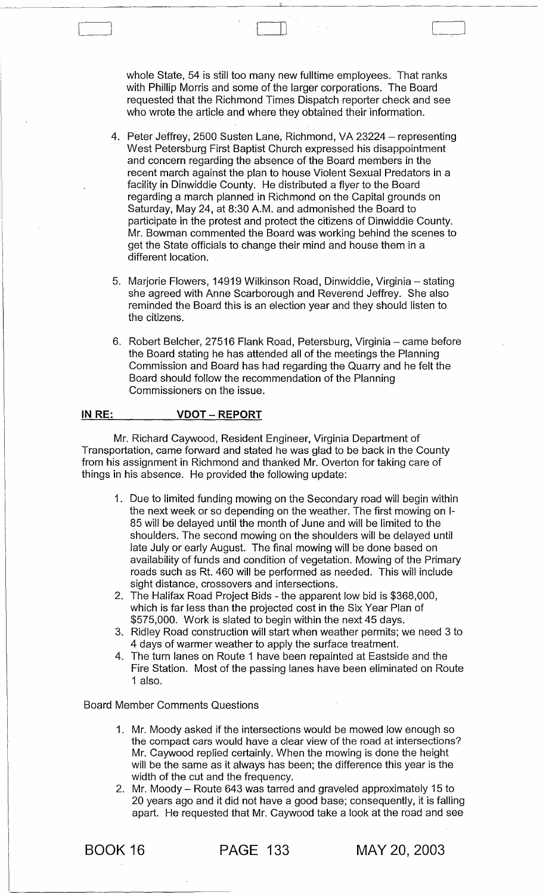whole State, 54 is still too many new fulltime employees. That ranks with Phillip Morris and some of the larger corporations. The Board requested that the Richmond Times Dispatch reporter check and see who wrote the article and where they obtained their information.

 $\Box$ 

- 4. Peter Jeffrey, 2500 Susten Lane, Richmond, VA 23224 representing West Petersburg First Baptist Church expressed his disappointment and concern regarding the absence of the Board members in the recent march against the plan to house Violent Sexual Predators in a facility in Dinwiddie County. He distributed a flyer to the Board regarding a march planned in Richmond on the Capital grounds on Saturday, May 24, at 8:30 A.M. and admonished the Board to participate in the protest and protect the citizens of Dinwiddie County. Mr. Bowman commented the Board was working behind the scenes to get the State officials to change their mind and house them in a different location.
- 5. Marjorie Flowers, 14919 Wilkinson Road, Dinwiddie, Virginia stating she agreed with Anne Scarborough and Reverend Jeffrey. She also reminded the Board this is an election year and they should listen to the citizens.
- 6. Robert Belcher, 27516 Flank Road, Petersburg, Virginia came before the Board stating he has attended all of the meetings the Planning Commission and Board has had regarding the Quarry and he felt the Board should follow the recommendation of the Planning Commissioners on the issue.

#### IN RE: VDOT - REPORT

Mr. Richard Caywood, Resident Engineer, Virginia Department of Transportation, came forward and stated he was glad to be back in the County from his assignment in Richmond and thanked Mr. Overton for taking care of things in his absence. He provided the following update:

- 1. Due to limited funding mowing on the Secondary road will begin within the next week or so depending on the weather. The first mowing on 1- 85 will be delayed until the month of June and will be limited to the shoulders. The second mowing on the shoulders will be delayed until late July or early August. The final mowing will be done based on availability of funds and condition of vegetation. Mowing of the Primary roads such as Rt. 460 will be performed as needed. This will include sight distance, crossovers and intersections.
- 2. The Halifax Road Project Bids the apparent low bid is \$368,000, which is far less than the projected cost in the Six Year Plan of \$575,000. Work is slated to begin within the next 45 days.
- 3. Ridley Road construction will start when weather permits; we need 3 to 4 days of warmer weather to apply the surface treatment.
- 4. The turn lanes on Route 1 have been repainted at Eastside and the Fire Station. Most of the passing lanes have been eliminated on Route 1 also.

### Board Member Comments Questions

- 1. Mr. Moody asked if the intersections would be mowed low enough so the compact cars would have a clear view of the road at intersections? Mr. Caywood replied certainly. When the mowing is done the height will be the same as it always has been; the difference this year is the width of the cut and the frequency.
- 2. Mr. Moody Route 643 was tarred and graveled approximately 15 to 20 years ago and it did not have a good base; consequently, it is falling apart. He requested that Mr. Caywood take a look at the road and see

BOOK 16 PAGE 133 MAY 20,2003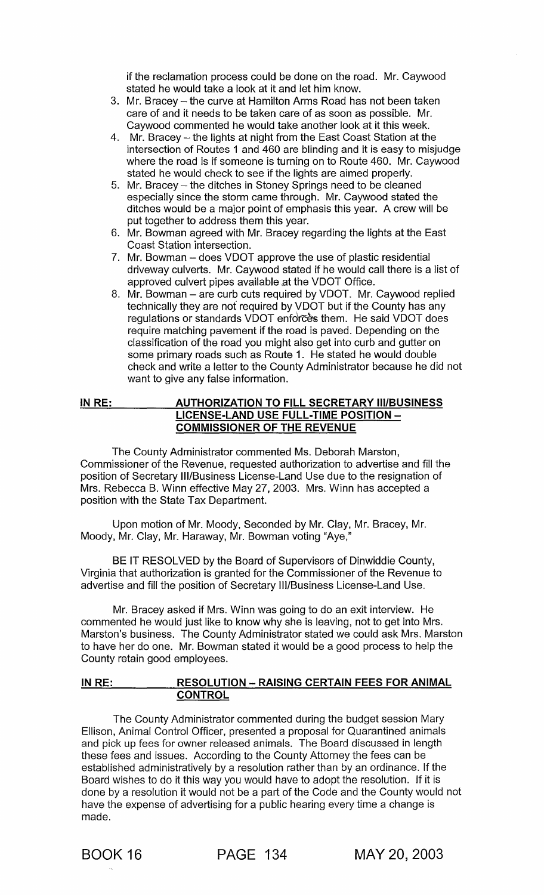if the reclamation process could be done on the road. Mr. Caywood stated he would take a look at it and let him know.

- 3. Mr. Bracey the curve at Hamilton Arms Road has not been taken care of and it needs to be taken care of as soon as possible. Mr. Caywood commented he would take another look at it this week.
- 4. Mr. Bracey the lights at night from the East Coast Station at the intersection of Routes 1 and 460 are blinding and it is easy to misjudge where the road is if someone is turning on to Route 460. Mr. Caywood stated he would check to see if the lights are aimed properly.
- 5. Mr. Bracey the ditches in Stoney Springs need to be cleaned especially since the storm came through. Mr. Caywood stated the ditches would be a major point of emphasis this year. A crew will be put together to address them this year.
- 6. Mr. Bowman agreed with Mr. Bracey regarding the lights at the East Coast Station intersection.
- 7. Mr. Bowman does VDOT approve the use of plastic residential driveway culverts. Mr. Caywood stated if he would call there is a list of approved culvert pipes available at the VDOT Office.
- 8. Mr. Bowman are curb cuts required by VDOT. Mr. Caywood replied technically they are not required by VDOT but if the County has any regulations or standards VDOT enforces them. He said VDOT does require matching pavement if the road is paved. Depending on the classification of the road you might also get into curb and gutter on some primary roads such as Route 1. He stated he would double check and write a letter to the County Administrator because he did not want to give any false information.

#### IN RE: AUTHORIZATION TO FILL SECRETARY III/BUSINESS LICENSE-LAND USE FULL-TIME POSITION -COMMISSIONER OF THE REVENUE

The County Administrator commented Ms. Deborah Marston, Commissioner of the Revenue, requested authorization to advertise and fill the position of Secretary III/Business License-Land Use due to the resignation of Mrs. Rebecca B. Winn effective May 27, 2003. Mrs. Winn has accepted a position with the State Tax Department.

Upon motion of Mr. Moody, Seconded by Mr. Clay, Mr. Bracey, Mr. Moody, Mr. Clay, Mr. Haraway, Mr. Bowman voting "Aye,"

BE IT RESOLVED by the Board of Supervisors of Dinwiddie County, Virginia that authorization is granted for the Commissioner of the Revenue to advertise and fill the position of Secretary III/Business License-Land Use.

Mr. Bracey asked if Mrs. Winn was going to do an exit interview. He commented he would just like to know why she is leaving, not to get into Mrs. Marston's business. The County Administrator stated we could ask Mrs. Marston to have her do one. Mr. Bowman stated it would be a good process to help the County retain good employees.

### IN RE: RESOLUTION - RAISING CERTAIN FEES FOR ANIMAL **CONTROL**

The County Administrator commented during the budget session Mary Ellison, Animal Control Officer, presented a proposal for Quarantined animals and pick up fees for owner released animals. The Board discussed in length these fees and issues. According to the County Attorney the fees can be established administratively by a resolution rather than by an ordinance. If the Board wishes to do it this way you would have to adopt the resolution. If it is done by a resolution it would not be a part of the Code and the County would not have the expense of advertising for a public hearing every time a change is made.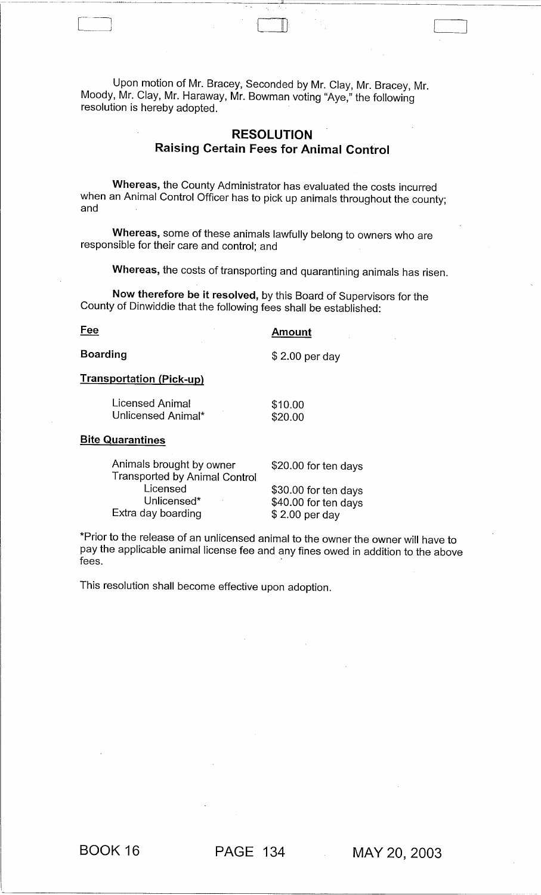Upon motion of Mr. Bracey, Seconded by Mr. Clay, Mr. Bracey, Mr. Moody, Mr. Clay, Mr. Haraway, Mr. Bowman voting "Aye," the following resolution is hereby adopted.

# **RESOLUTION**  Raising Certain Fees for Animal Control

 $\Box$ 

Whereas, the County Administrator has evaluated the costs incurred when an Animal Control Officer has to pick up animals throughout the county; and

Whereas, some of these animals lawfully belong to owners who are responsible for their care and control; and

Whereas, the costs of transporting and quarantining animals has risen.

Now therefore be it resolved, by this Board of Supervisors for the County of Dinwiddie that the following fees shall be established:

Fee

**Amount** 

\$ 2.00 per day

Boarding

### Transportation (Pick-up)

Licensed Animal Unlicensed Animal\* \$10.00 \$20.00

#### **Bite Quarantines**

Animals brought by owner Transported by Animal Control **Licensed** Unlicensed\* Extra day boarding \$20.00 for ten days \$ 2.00 per day

\$30.00 for ten days \$40.00 for ten days

\*Prior to the release of an unlicensed animal to the owner the owner will have to pay the applicable animal license fee and any fines owed in addition to the above fees. The contract of the contract of the contract of the contract of the contract of the contract of the contract of the contract of the contract of the contract of the contract of the contract of the contract of the cont

This resolution shall become effective upon adoption.

BOOK 16 PAGE 134 MAY 20,2003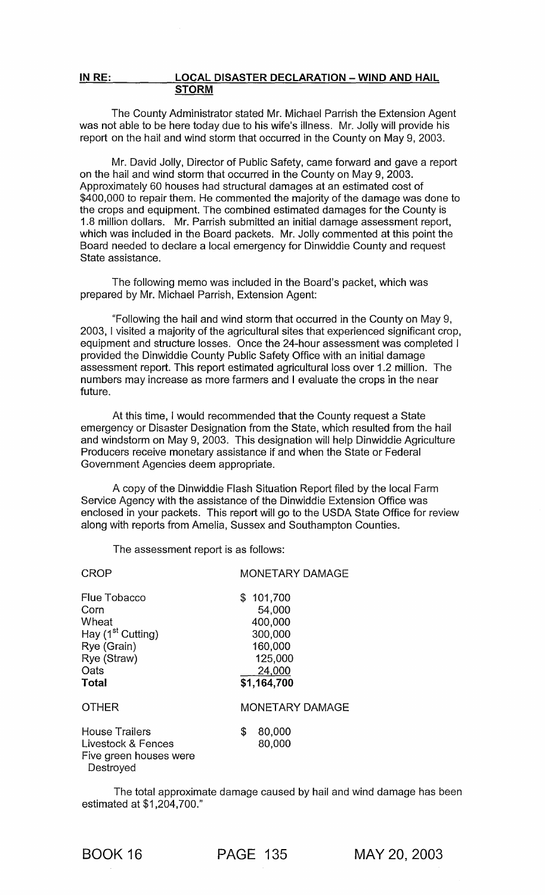#### **INRE: LOCAL DISASTER DECLARATION - WIND AND HAIL STORM**

The County Administrator stated Mr. Michael Parrish the Extension Agent was not able to be here today due to his wife's illness. Mr. Jolly will provide his report on the hail and wind storm that occurred in the County on May 9, 2003.

Mr. David Jolly, Director of Public Safety, came forward and gave a report on the hail and wind storm that occurred in the County on May 9, 2003. Approximately 60 houses had structural damages at an estimated cost of \$400,000 to repair them. He commented the majority of the damage was done to the crops and equipment. The combined estimated damages for the County is 1.8 million dollars. Mr. Parrish submitted an initial damage assessment report, which was included in the Board packets. Mr. Jolly commented at this point the Board needed to declare a local emergency for Dinwiddie County and request State assistance.

The following memo was included in the Board's packet, which was prepared by Mr. Michael Parrish, Extension Agent:

"Following the hail and wind storm that occurred in the County on May 9, 2003, I visited a majority of the agricultural sites that experienced significant crop, equipment and structure losses. Once the 24-hour assessment was completed I provided the Dinwiddie County Public Safety Office with an initial damage assessment report. This report estimated agricultural loss over 1.2 million. The numbers may increase as more farmers and I evaluate the crops in the near future.

At this time, I would recommended that the County request a State emergency or Disaster Designation from the State, which resulted from the hail and windstorm on May 9, 2003. This designation will help Dinwiddie Agriculture Producers receive monetary assistance if and when the State or Federal Government Agencies deem appropriate.

A copy of the Dinwiddie Flash Situation Report filed by the local Farm Service Agency with the assistance of the Dinwiddie Extension Office was enclosed in your packets. This report will go to the USDA State Office for review along with reports from Amelia, Sussex and Southampton Counties.

The assessment report is as follows:

| <b>CROP</b>                                                                                                   | <b>MONETARY DAMAGE</b>                                                                   |
|---------------------------------------------------------------------------------------------------------------|------------------------------------------------------------------------------------------|
| Flue Tobacco<br>Corn<br>Wheat<br>Hay (1 <sup>st</sup> Cutting)<br>Rye (Grain)<br>Rye (Straw)<br>Oats<br>Total | \$101,700<br>54,000<br>400,000<br>300,000<br>160,000<br>125,000<br>24,000<br>\$1,164,700 |
| <b>OTHER</b>                                                                                                  | <b>MONETARY DAMAGE</b>                                                                   |
| <b>House Trailers</b><br>Livestock & Fences<br>Five green houses were<br>Destroyed                            | \$<br>80,000<br>80,000                                                                   |

The total approximate damage caused by hail and wind damage has been estimated at \$1,204,700."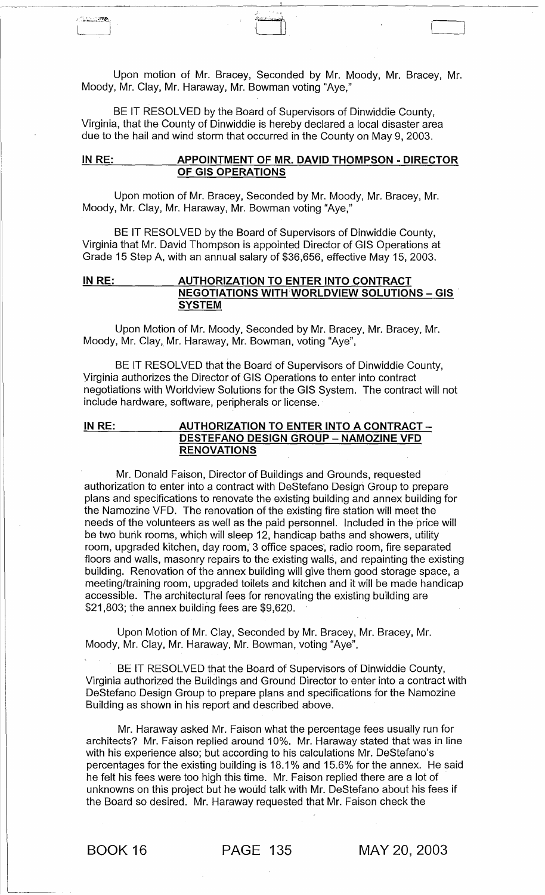Upon motion of Mr. Bracey, Seconded by Mr. Moody, Mr. Bracey, Mr. Moody, Mr. Clay, Mr. Haraway, Mr. Bowman voting "Aye,"

BE IT RESOLVED by the Board of Supervisors of Dinwiddie County, Virginia, that the County of Dinwiddie is hereby declared a local disaster area due to the hail and wind storm that occurred in the County on May 9,2003.

### IN RE: APPOINTMENT OF MR. DAVID THOMPSON - DIRECTOR OF GIS OPERATIONS

Upon motion of Mr. Bracey, Seconded by Mr. Moody, Mr. Bracey, Mr. Moody, Mr. Clay, Mr. Haraway, Mr. Bowman voting "Aye,"

BE IT RESOLVED by the Board of Supervisors of Dinwiddie County, Virginia that Mr. David Thompson is appointed Director of GIS Operations at Grade 15 Step A, with an annual salary of \$36,656, effective May 15, 2003.

### IN RE: \_\_\_\_\_\_\_ AUTHORIZATION TO ENTER INTO CONTRACT **NEGOTIATIONS WITH WORLDVIEW SOLUTIONS - GIS SYSTEM**

Upon Motion of Mr. Moody, Seconded by Mr. Bracey, Mr. Bracey, Mr. Moody, Mr. Clay, Mr. Haraway, Mr. Bowman, voting "Aye",

BE IT RESOLVED that the Board of Supervisors of Dinwiddie County, Virginia authorizes the Director of GIS Operations to enter into contract negotiations with Worldview Solutions for the GIS System. The contract will not include hardware, software, peripherals or license.

### IN RE: \_\_\_\_\_\_\_\_\_\_\_ AUTHORIZATION TO ENTER INTO A CONTRACT -DESTEFANO DESIGN GROUP - NAMOZINE VFD RENOVATIONS

Mr. Donald Faison, Director of Buildings and Grounds, requested authorization to enter into a contract with DeStefano Design Group to prepare plans and specifications to renovate the existing building and annex building for the Namozine VFD. The renovation of the existing fire station will meet the needs of the volunteers as well as the paid personnel. Included in the price will be two bunk rooms, which will sleep 12, handicap baths and showers, utility room, upgraded kitchen, day room, 3 office spaces; radio room, fire separated floors and walls, masonry repairs to the existing walls, and repainting the existing building. Renovation of the annex building will give them good storage space, a meeting/training room, upgraded toilets and kitchen and it will be made handicap accessible. The architectural fees for renovating the existing building are \$21,803; the annex building fees are \$9,620.

Upon Motion of Mr. Clay, Seconded by Mr. Bracey, Mr. Bracey, Mr. Moody, Mr. Clay, Mr. Haraway, Mr. Bowman, voting "Aye",

BE IT RESOLVED that the Board of Supervisors of Dinwiddie County, Virginia authorized the Buildings and Ground Director to enter into a contract with DeStefano Design Group to prepare plans and specifications for the Namozine Building as shown in his report and described above.

Mr. Haraway asked Mr. Faison what the percentage fees usually run for architects? Mr. Faison replied around 10%. Mr. Haraway stated that was in line with his experience also; but according to his calculations Mr. DeStefano's percentages for the existing building is 18.1 % and 15.6% for the annex. He said he felt his fees were too high this time. Mr. Faison replied there are a lot of unknowns on this project but he would talk with Mr. DeStefano about his fees if the Board so desired. Mr. Haraway requested that Mr. Faison check the

アウエンスの場

BOOK 16 PAGE 135 MAY 20,2003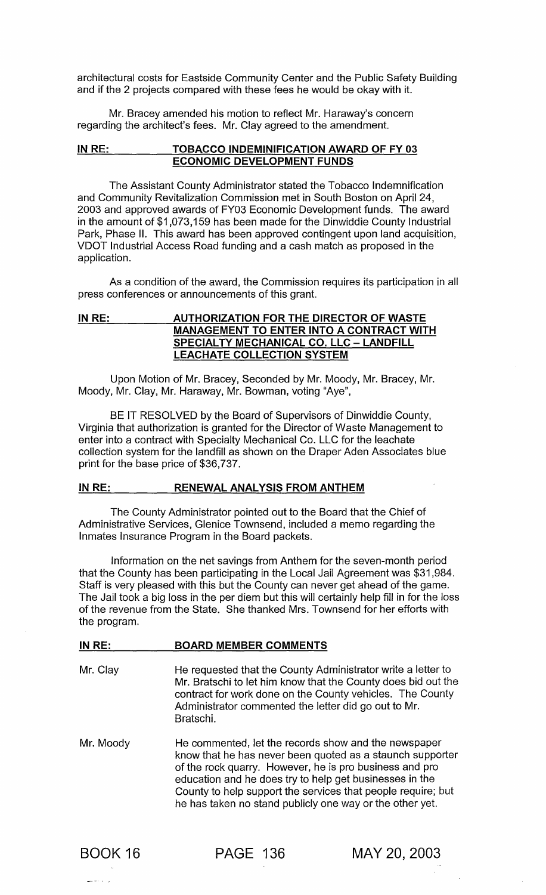architectural costs for Eastside Community Center and the Public Safety Building and if the 2 projects compared with these fees he would be okay with it.

Mr. Bracey amended his motion to reflect Mr. Haraway's concern regarding the architect's fees. Mr. Clay agreed to the amendment.

### IN RE: TOBACCO INDEMINIFICATION AWARD OF FY 03 ECONOMIC DEVELOPMENT FUNDS

The Assistant County Administrator stated the Tobacco Indemnification and Community Revitalization Commission met in South Boston on April 24, 2003 and approved awards of FY03 Economic Development funds. The award in the amount of \$1 ,073,159 has been made for the Dinwiddie County Industrial Park, Phase II. This award has been approved contingent upon land acquisition, VDOT Industrial Access Road funding and a cash match as proposed in the application.

As a condition of the award, the Commission requires its participation in all press conferences or announcements of this grant.

### IN RE: \_\_ \_\_ \_ AUTHORIZATION FOR THE DIRECTOR OF WASTE MANAGEMENT TO ENTER INTO A CONTRACT WITH SPECIALTY MECHANICAL CO. LLC - LANDFILL LEACHATE COLLECTION SYSTEM

Upon Motion of Mr. Bracey, Seconded by Mr. Moody, Mr. Bracey, Mr. Moody, Mr. Clay, Mr. Haraway, Mr. Bowman, voting "Aye",

BE IT RESOLVED by the Board of Supervisors of Dinwiddie County, Virginia that authorization is granted for the Director of Waste Management to enter into a contract with Specialty Mechanical Co. LLC for the leachate collection system for the landfill as shown on the Draper Aden Associates blue print for the base price of \$36,737.

### IN RE: RENEWAL ANALYSIS FROM ANTHEM

BOARD MEMBER COMMENTS

The County Administrator pointed out to the Board that the Chief of Administrative Services, Glenice Townsend, included a memo regarding the Inmates Insurance Program in the Board packets.

Information on the net savings from Anthem for the seven-month period that the County has been participating in the Local Jail Agreement was \$31,984. Staff is very pleased with this but the County can never get ahead of the game. The Jail took a big loss in the per diem but this will certainly help fill in for the loss of the revenue from the State. She thanked Mrs. Townsend for her efforts with the program.

# Mr. Clay He requested that the County Administrator write a letter to Mr. Bratschi to let him know that the County does bid out the contract for work done on the County vehicles. The County Administrator commented the letter did go out to Mr. Bratschi.

Mr. Moody He commented, let the records show and the newspaper know that he has never been quoted as a staunch supporter of the rock quarry. However, he is pro business and pro education and he does try to help get businesses in the County to help support the services that people require; but he has taken no stand publicly one way or the other yet.



IN RE:  $\overline{\phantom{a}}$ 

PAGE 136 MAY 20,2003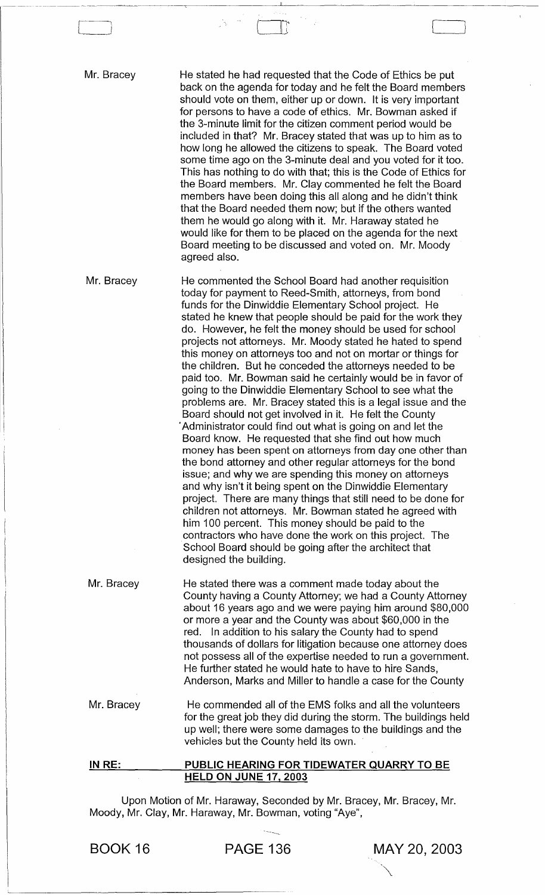Mr. Bracey

 $\Box$ 

He stated he had requested that the Code of Ethics be put back on the agenda for today and he felt the Board members should vote on them, either up or down. It is very important for persons to have a code of ethics. Mr. Bowman asked if the 3-minute limit for the citizen comment period would be included in that? Mr. Bracey stated that was up to him as to how long he allowed the citizens to speak. The Board voted some time ago on the 3-minute deal and you voted for it too. This has nothing to do with that; this is the Code of Ethics for the Board members. Mr. Clay commented he felt the Board members have been doing this all along and he didn't think that the Board needed them now; but if the others wanted them he would go along with it. Mr. Haraway stated he would like for them to be placed on the agenda for the next Board meeting to be discussed and voted on. Mr. Moody agreed also.

 $\prod_{i=1}^n$ 

Mr. Bracey He commented the School Board had another requisition today for payment to Reed-Smith, attorneys, from bond funds for the Dinwiddie Elementary School project. He stated he knew that people should be paid for the work they do. However, he felt the money should be used for school projects not attorneys. Mr. Moody stated he hated to spend this money on attorneys too and not on mortar or things for the children. But he conceded the attorneys needed to be paid too. Mr. Bowman said he certainly would be in favor of going to the Dinwiddie Elementary School to see what the problems are. Mr. Bracey stated this is a legal issue and the Board should not get involved in it. He felt the County . Administrator could find out what is going on and let the Board know. He requested that she find out how much money has been spent on attorneys from day one other than the bond attorney and other regular attorneys for the bond issue; and why we are spending this money on attorneys and why isn't it being spent on the Dinwiddie Elementary project. There are many things that still need to be done for children not attorneys. Mr. Bowman stated he agreed with him 100 percent. This money should be paid to the contractors who have done the work on this project. The School Board should be going after the architect that designed the building.

Mr. Bracey He stated there was a comment made today about the County having a County Attorney; we had a County Attorney about 16 years ago and we were paying him around \$80,000 or more a year and the County was about \$60,000 in the red. In addition to his salary the County had to spend thousands of dollars for litigation because one attorney does not possess all of the expertise needed to run a government. He further stated he would hate to have to hire Sands, Anderson, Marks and Miller to handle a case for the County

Mr. Bracey He commended all of the EMS folks and all the volunteers for the great job they did during the storm. The buildings held up well; there were some damages to the buildings and the vehicles but the County held its own.

#### IN RE: PUBLIC HEARING FOR TIDEWATER QUARRY TO BE HELD ON JUNE 17,2003

Upon Motion of Mr. Haraway, Seconded by Mr. Bracey, Mr. Bracey, Mr. Moody, Mr. Clay, Mr. Haraway, Mr. Bowman, voting "Aye",

---~

"\.

BOOK 16 PAGE 136 MAY 20,2003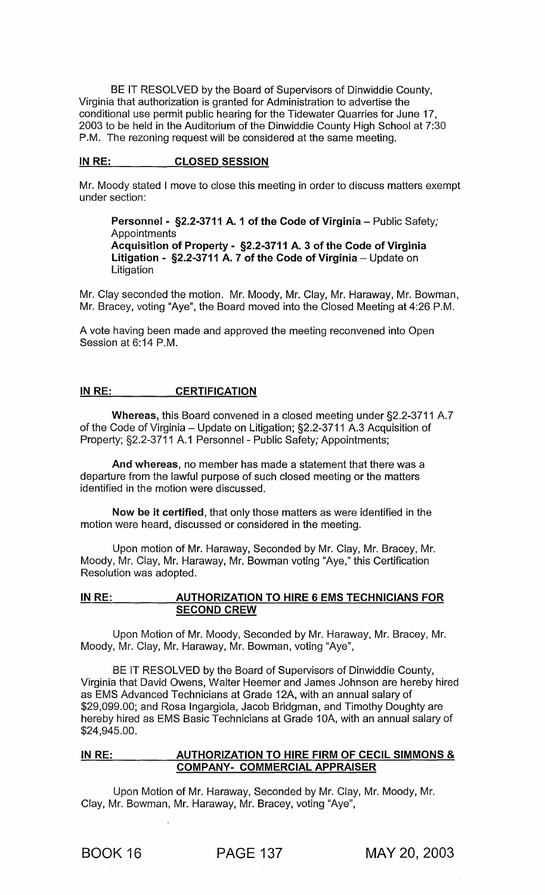BE IT RESOLVED by the Board of Supervisors of Dinwiddie County, Virginia that authorization is granted for Administration to advertise the conditional use permit public hearing for the Tidewater Quarries for June 17, 2003 to be held in the Auditorium of the Dinwiddie County High School at 7:30 P.M. The rezoning request will be considered at the same meeting.

### IN RE: CLOSED SESSION

Mr. Moody stated I move to close this meeting in order to discuss matters exempt under section:

Personnel - §2.2-3711 A. 1 of the Code of Virginia - Public Safety; **Appointments** Acquisition of Property - §2.2-3711 A. 3 of the Code of Virginia Litigation -  $\S 2.2$ -3711 A. 7 of the Code of Virginia – Update on **Litigation** 

Mr. Clay seconded the motion. Mr. Moody, Mr. Clay, Mr. Haraway, Mr. Bowman, Mr. Bracey, voting "Aye", the Board moved into the Closed Meeting at 4:26 P.M.

A vote having been made and approved the meeting reconvened into Open Session at 6:14 P.M.

### IN RE: CERTIFICATION

Whereas, this Board convened in a closed meeting under §2.2-3711 A.7 of the Code of Virginia  $-$  Update on Litigation; §2.2-3711 A.3 Acquisition of Property; §2.2-3711 A.1 Personnel - Public Safety; Appointments;

And whereas, no member has made a statement that there was a departure from the lawful purpose of such closed meeting or the matters identified in the motion were discussed.

Now be it certified, that only those matters as were identified in the motion were heard, discussed or considered in the meeting.

Upon motion of Mr. Haraway, Seconded by Mr. Clay, Mr. Bracey, Mr. Moody, Mr. Clay, Mr. Haraway, Mr. Bowman voting "Aye," this Certification Resolution was adopted.

### IN RE: AUTHORIZATION TO HIRE 6 EMS TECHNICIANS FOR SECOND CREW

Upon Motion of Mr. Moody, Seconded by Mr. Haraway, Mr. Bracey, Mr. Moody, Mr. Clay, Mr. Haraway, Mr. Bowman, voting "Aye",

BE IT RESOLVED by the Board of Supervisors of Dinwiddie County, Virginia that David Owens, Walter Heemer and James Johnson are hereby hired as EMS Advanced Technicians at Grade 12A, with an annual salary of \$29,099.00; and Rosa Ingargiola, Jacob Bridgman, and Timothy Doughty are hereby hired as EMS Basic Technicians at Grade 10A, with an annual salary of \$24,945.00.

### IN RE: AUTHORIZATION TO HIRE FIRM OF CECIL SIMMONS & COMPANY-COMMERCIAL APPRAISER

Upon Motion of Mr. Haraway, Seconded by Mr. Clay, Mr. Moody, Mr. Clay, Mr. Bowman, Mr. Haraway, Mr. Bracey, voting "Aye",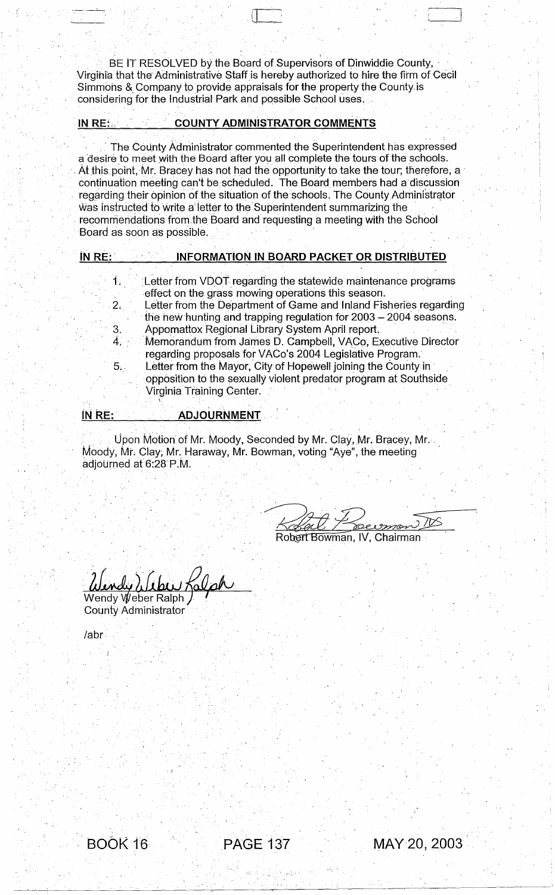BE IT RESOLVED by the Board of Supervisors of Dinwiddie County, Virgihia that the- Administrative Staffis hereby authorized to hire the fitm of Cecil Simmohs & Company to provide appraisals for the property the County is considering for the Industrial Park and possible School uses.

) , and the property of  $\mathbb{R}^n$  ,  $\mathbb{R}^n$  ,  $\mathbb{R}^n$  ,  $\mathbb{R}^n$  ,  $\mathbb{R}^n$  ,  $\mathbb{R}^n$  ,  $\mathbb{R}^n$  ,  $\mathbb{R}^n$  ,  $\mathbb{R}^n$  ,  $\mathbb{R}^n$  ,  $\mathbb{R}^n$  ,  $\mathbb{R}^n$  ,  $\mathbb{R}^n$ 

# . . . 'IN RE:., COUNTY ADMINISTRATOR COMMENTS

, ,

The County Administrator commented the Superintendent has expressed a desire to meet with the Board after you all complete the tours of the schools. . At this point, Mr. Bracey has not had the opportunity to take the tour; therefore, a  $\,$ continuation meeting can't be·scheduled. The Board members had a discussion regarding their opinion of the situation of the schools. The County Administrator Was instructed to write a letter to the Superintendent summarizing the recommendations from the Board and requesting a meeting with the School Board as soon as possible.

| IN RE:         | <b>INFORMATION IN BOARD PACKET OR DISTRIBUTED</b>                 |
|----------------|-------------------------------------------------------------------|
|                |                                                                   |
| 1 <sup>1</sup> | Letter from VDOT regarding the statewide maintenance programs     |
|                | effect on the grass mowing operations this season.                |
| 2.             | Letter from the Department of Game and Inland Fisheries regarding |
|                | the new hunting and trapping regulation for 2003 - 2004 seasons.  |
|                | Appomattox Regional Library System April report.                  |
|                | Memorandum from James D. Campbell, VACo, Executive Director       |
|                | regarding proposals for VACo's 2004 Legislative Program.          |
| 5.             | Letter from the Mayor, City of Hopewell joining the County in     |
|                | opposition to the sexually violent predator program at Southside  |
|                | Virginia Training Center.                                         |
|                |                                                                   |

### iN RE: ADJOURNMENT

Upon Motion of Mr. Moody, Seconded by Mr. Clay, Mr. Bracey, Mr. Moody, Mr. Clay, Mr. Haraway, Mr. Bowman, voting "Aye", the meeting adjourned at 6:28 P.M.

∕⊠

'1 !

Robert Bowman, IV, Chairman

Wendy Weber Ralph

County Administrator

labr

 $..$   $\cdot$   $\cdot$   $\cdot$